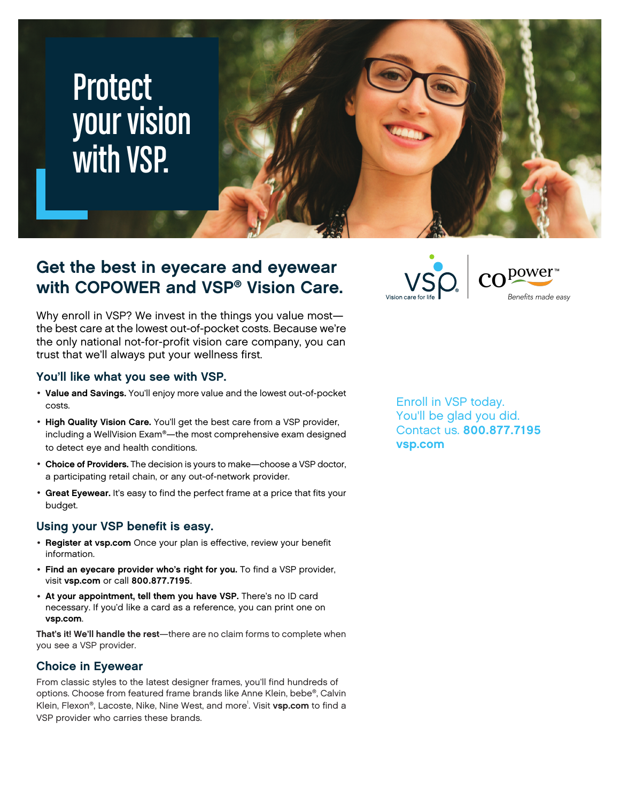# **Protect** your vision with VSP.



### **Get the best in eyecare and eyewear with COPOWER and VSP® Vision Care.**

Why enroll in VSP? We invest in the things you value most the best care at the lowest out-of-pocket costs. Because we're the only national not-for-profit vision care company, you can trust that we'll always put your wellness first.

#### **You'll like what you see with VSP.**

- **Value and Savings.** You'll enjoy more value and the lowest out-of-pocket costs.
- **High Quality Vision Care.** You'll get the best care from a VSP provider, including a WellVision Exam®—the most comprehensive exam designed to detect eye and health conditions.
- **Choice of Providers.** The decision is yours to make—choose a VSP doctor, a participating retail chain, or any out-of-network provider.
- **Great Eyewear.** It's easy to find the perfect frame at a price that fits your budget.

#### **Using your VSP benefit is easy.**

- **Register at [vsp.com](www.vsp.com)** Once your plan is effective, review your benefit information.
- **Find an eyecare provider who's right for you.** To find a VSP provider, visit **[vsp.com](www.vsp.com)** or call **800.877.7195**.
- **At your appointment, tell them you have VSP.** There's no ID card necessary. If you'd like a card as a reference, you can print one on **[vsp.com](www.vsp.com)**.

**That's it! We'll handle the rest**—there are no claim forms to complete when you see a VSP provider.

#### **Choice in Eyewear**

From classic styles to the latest designer frames, you'll find hundreds of options. Choose from featured frame brands like Anne Klein, bebe®, Calvin Klein, Flexon®, Lacoste, Nike, Nine West, and more<sup>1</sup>. Visit [vsp.com](www.vsp.com) to find a VSP provider who carries these brands.

Enroll in VSP today. You'll be glad you did. Contact us. **800.877.7195**

 $CO<sup>power</sup>$ 

Benefits made easy

**[vsp.com](http://www.vsp.com)**

**VSO**